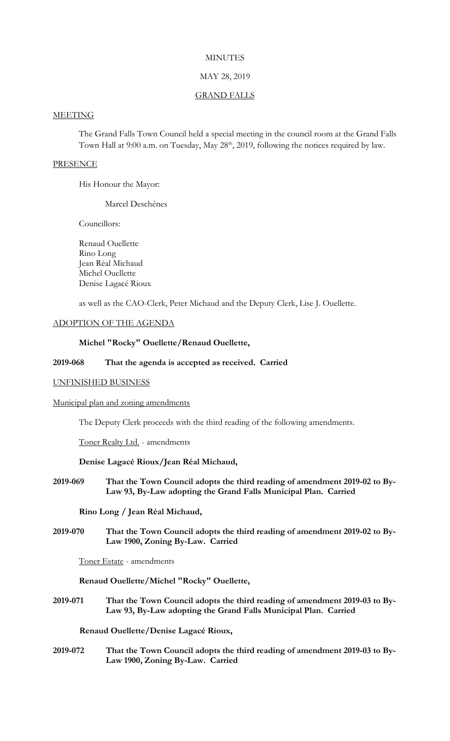# **MINUTES**

### MAY 28, 2019

#### GRAND FALLS

# **MEETING**

The Grand Falls Town Council held a special meeting in the council room at the Grand Falls Town Hall at 9:00 a.m. on Tuesday, May 28<sup>th</sup>, 2019, following the notices required by law.

#### **PRESENCE**

His Honour the Mayor:

Marcel Deschênes

Councillors:

Renaud Ouellette Rino Long Jean Réal Michaud Michel Ouellette Denise Lagacé Rioux

as well as the CAO-Clerk, Peter Michaud and the Deputy Clerk, Lise J. Ouellette.

### ADOPTION OF THE AGENDA

# **Michel "Rocky" Ouellette/Renaud Ouellette,**

### **2019-068 That the agenda is accepted as received. Carried**

### UNFINISHED BUSINESS

#### Municipal plan and zoning amendments

The Deputy Clerk proceeds with the third reading of the following amendments.

Toner Realty Ltd. - amendments

#### **Denise Lagacé Rioux/Jean Réal Michaud,**

**2019-069 That the Town Council adopts the third reading of amendment 2019-02 to By-Law 93, By-Law adopting the Grand Falls Municipal Plan. Carried**

**Rino Long / Jean Réal Michaud,**

**2019-070 That the Town Council adopts the third reading of amendment 2019-02 to By-Law 1900, Zoning By-Law. Carried**

Toner Estate - amendments

**Renaud Ouellette/Michel "Rocky" Ouellette,**

**2019-071 That the Town Council adopts the third reading of amendment 2019-03 to By-Law 93, By-Law adopting the Grand Falls Municipal Plan. Carried**

# **Renaud Ouellette/Denise Lagacé Rioux,**

**2019-072 That the Town Council adopts the third reading of amendment 2019-03 to By-Law 1900, Zoning By-Law. Carried**